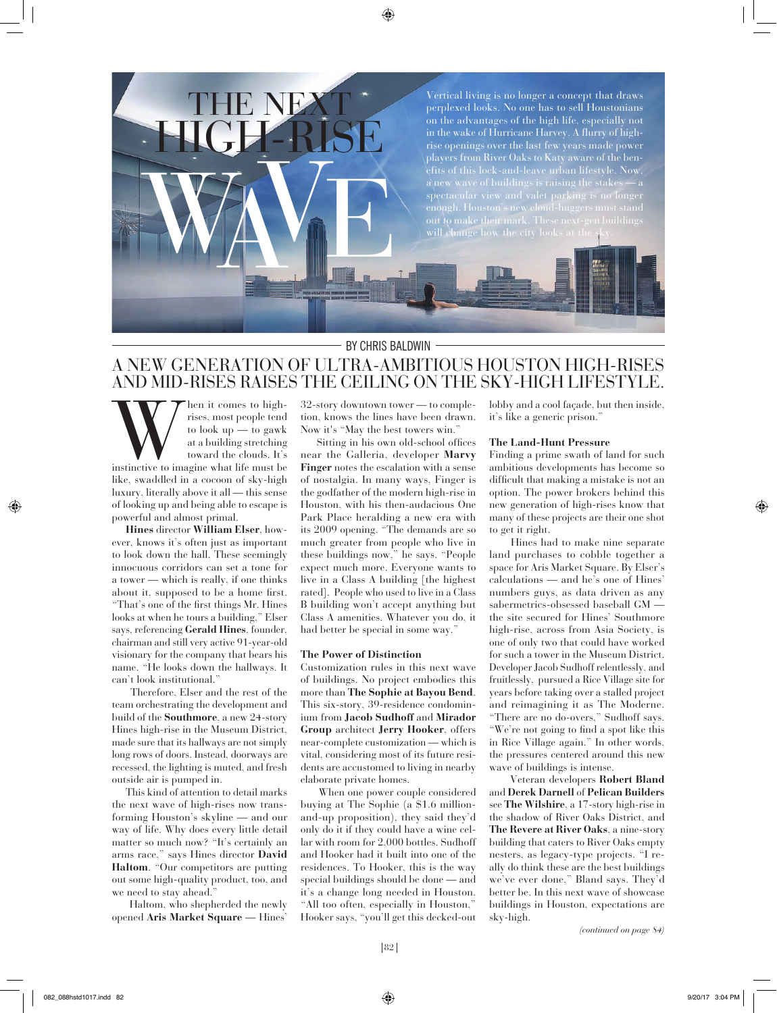

### BY CHRIS BALDWIN

# A NEW GENERATION OF ULTRA-AMBITIOUS HOUSTON HIGH-RISES AND MID-RISES RAISES THE CEILING ON THE SKY-HIGH LIFESTYLE.

When it comes to high-<br>rises, most people tend<br>to look up — to gawk<br>at a building stretching<br>toward the clouds. It's<br>instinctive to imagine what life must be rises, most people tend to look  $up - to gawk$ at a building stretching toward the clouds. It's

like, swaddled in a cocoon of sky-high luxury, literally above it all — this sense of looking up and being able to escape is powerful and almost primal.

**Hines** director **William Elser**, however, knows it's often just as important to look down the hall. These seemingly innocuous corridors can set a tone for a tower — which is really, if one thinks about it, supposed to be a home first. "That's one of the first things Mr. Hines looks at when he tours a building," Elser says, referencing **Gerald Hines**, founder, chairman and still very active 91-year-old visionary for the company that bears his name. "He looks down the hallways. It can't look institutional."

 Therefore, Elser and the rest of the team orchestrating the development and build of the **Southmore**, a new 24-story Hines high-rise in the Museum District, made sure that its hallways are not simply long rows of doors. Instead, doorways are recessed, the lighting is muted, and fresh outside air is pumped in.

 This kind of attention to detail marks the next wave of high-rises now transforming Houston's skyline — and our way of life. Why does every little detail matter so much now? "It's certainly an arms race," says Hines director **David Haltom**. "Our competitors are putting out some high-quality product, too, and we need to stay ahead."

 Haltom, who shepherded the newly opened **Aris Market Square** — Hines'

32-story downtown tower — to completion, knows the lines have been drawn. Now it's "May the best towers win."

 Sitting in his own old-school offices near the Galleria, developer **Marvy Finger** notes the escalation with a sense of nostalgia. In many ways, Finger is the godfather of the modern high-rise in Houston, with his then-audacious One Park Place heralding a new era with its 2009 opening. "The demands are so much greater from people who live in these buildings now," he says. "People expect much more. Everyone wants to live in a Class A building [the highest rated]. People who used to live in a Class B building won't accept anything but Class A amenities. Whatever you do, it had better be special in some way."

#### **The Power of Distinction**

Customization rules in this next wave of buildings. No project embodies this more than **The Sophie at Bayou Bend**. This six-story, 39-residence condominium from **Jacob Sudhoff** and **Mirador Group** architect **Jerry Hooker**, offers near-complete customization — which is vital, considering most of its future residents are accustomed to living in nearby elaborate private homes.

 When one power couple considered buying at The Sophie (a \$1.6 millionand-up proposition), they said they'd only do it if they could have a wine cellar with room for 2,000 bottles. Sudhoff and Hooker had it built into one of the residences. To Hooker, this is the way special buildings should be done — and it's a change long needed in Houston. "All too often, especially in Houston," Hooker says, "you'll get this decked-out

lobby and a cool façade, but then inside, it's like a generic prison."

#### **The Land-Hunt Pressure**

Finding a prime swath of land for such ambitious developments has become so difficult that making a mistake is not an option. The power brokers behind this new generation of high-rises know that many of these projects are their one shot to get it right.

 Hines had to make nine separate land purchases to cobble together a space for Aris Market Square. By Elser's calculations — and he's one of Hines' numbers guys, as data driven as any sabermetrics-obsessed baseball GM the site secured for Hines' Southmore high-rise, across from Asia Society, is one of only two that could have worked for such a tower in the Museum District. Developer Jacob Sudhoff relentlessly, and fruitlessly, pursued a Rice Village site for years before taking over a stalled project and reimagining it as The Moderne. "There are no do-overs," Sudhoff says. "We're not going to find a spot like this in Rice Village again." In other words, the pressures centered around this new wave of buildings is intense.

 Veteran developers **Robert Bland** and **Derek Darnell** of **Pelican Builders** see **The Wilshire**, a 17-story high-rise in the shadow of River Oaks District, and **The Revere at River Oaks**, a nine-story building that caters to River Oaks empty nesters, as legacy-type projects. "I really do think these are the best buildings we've ever done," Bland says. They'd better be. In this next wave of showcase buildings in Houston, expectations are sky-high.